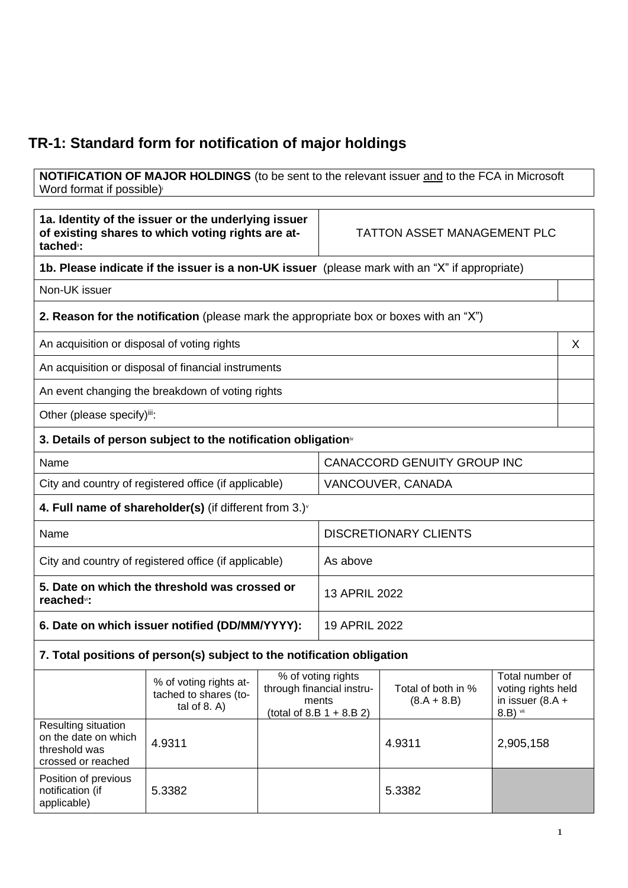## **TR-1: Standard form for notification of major holdings**

**NOTIFICATION OF MAJOR HOLDINGS** (to be sent to the relevant issuer and to the FCA in Microsoft Word format if possible)

| 1a. Identity of the issuer or the underlying issuer<br>of existing shares to which voting rights are at-<br>tached <sup>®</sup> : |                                                                                              | <b>TATTON ASSET MANAGEMENT PLC</b> |                                                                                         |                                     |                                                                         |   |
|-----------------------------------------------------------------------------------------------------------------------------------|----------------------------------------------------------------------------------------------|------------------------------------|-----------------------------------------------------------------------------------------|-------------------------------------|-------------------------------------------------------------------------|---|
| 1b. Please indicate if the issuer is a non-UK issuer (please mark with an "X" if appropriate)                                     |                                                                                              |                                    |                                                                                         |                                     |                                                                         |   |
| Non-UK issuer                                                                                                                     |                                                                                              |                                    |                                                                                         |                                     |                                                                         |   |
|                                                                                                                                   | <b>2. Reason for the notification</b> (please mark the appropriate box or boxes with an "X") |                                    |                                                                                         |                                     |                                                                         |   |
| An acquisition or disposal of voting rights                                                                                       |                                                                                              |                                    |                                                                                         |                                     |                                                                         | X |
|                                                                                                                                   | An acquisition or disposal of financial instruments                                          |                                    |                                                                                         |                                     |                                                                         |   |
|                                                                                                                                   | An event changing the breakdown of voting rights                                             |                                    |                                                                                         |                                     |                                                                         |   |
| Other (please specify)iii:                                                                                                        |                                                                                              |                                    |                                                                                         |                                     |                                                                         |   |
|                                                                                                                                   | 3. Details of person subject to the notification obligation <sup>®</sup>                     |                                    |                                                                                         |                                     |                                                                         |   |
| Name                                                                                                                              |                                                                                              |                                    | <b>CANACCORD GENUITY GROUP INC</b>                                                      |                                     |                                                                         |   |
| City and country of registered office (if applicable)                                                                             |                                                                                              |                                    | VANCOUVER, CANADA                                                                       |                                     |                                                                         |   |
|                                                                                                                                   | 4. Full name of shareholder(s) (if different from 3.) $\check{ }$                            |                                    |                                                                                         |                                     |                                                                         |   |
| Name                                                                                                                              |                                                                                              |                                    | <b>DISCRETIONARY CLIENTS</b>                                                            |                                     |                                                                         |   |
| City and country of registered office (if applicable)                                                                             |                                                                                              |                                    | As above                                                                                |                                     |                                                                         |   |
| 5. Date on which the threshold was crossed or<br>reached <sup>vi</sup> :                                                          |                                                                                              |                                    | 13 APRIL 2022                                                                           |                                     |                                                                         |   |
| 6. Date on which issuer notified (DD/MM/YYYY):                                                                                    |                                                                                              | 19 APRIL 2022                      |                                                                                         |                                     |                                                                         |   |
|                                                                                                                                   | 7. Total positions of person(s) subject to the notification obligation                       |                                    |                                                                                         |                                     |                                                                         |   |
|                                                                                                                                   | % of voting rights at-<br>tached to shares (to-<br>tal of $8. A$ )                           |                                    | % of voting rights<br>through financial instru-<br>ments<br>(total of 8.B $1 + 8.B 2$ ) | Total of both in %<br>$(8.A + 8.B)$ | Total number of<br>voting rights held<br>in issuer $(8.A +$<br>8.B) vii |   |
| Resulting situation<br>on the date on which<br>threshold was<br>crossed or reached                                                | 4.9311                                                                                       |                                    |                                                                                         | 4.9311                              | 2,905,158                                                               |   |
| Position of previous<br>notification (if<br>applicable)                                                                           | 5.3382                                                                                       |                                    |                                                                                         | 5.3382                              |                                                                         |   |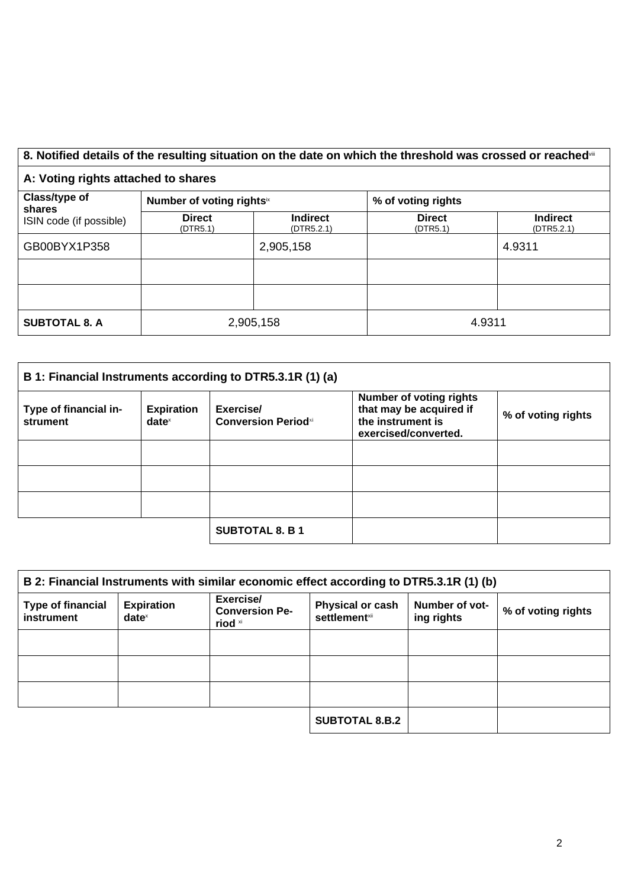## 8. Notified details of the resulting situation on the date on which the threshold was crossed or reached<sup>vii</sup>

## **A: Voting rights attached to shares**

| Class/type of<br>shares<br>ISIN code (if possible) | Number of voting rightsix |                               | % of voting rights        |                               |
|----------------------------------------------------|---------------------------|-------------------------------|---------------------------|-------------------------------|
|                                                    | <b>Direct</b><br>(DTR5.1) | <b>Indirect</b><br>(DTR5.2.1) | <b>Direct</b><br>(DTR5.1) | <b>Indirect</b><br>(DTR5.2.1) |
| GB00BYX1P358                                       |                           | 2,905,158                     |                           | 4.9311                        |
|                                                    |                           |                               |                           |                               |
|                                                    |                           |                               |                           |                               |
| <b>SUBTOTAL 8. A</b>                               | 2,905,158                 |                               | 4.9311                    |                               |

| B 1: Financial Instruments according to DTR5.3.1R (1) (a) |                               |                                         |                                                                                                        |                    |
|-----------------------------------------------------------|-------------------------------|-----------------------------------------|--------------------------------------------------------------------------------------------------------|--------------------|
| Type of financial in-<br>strument                         | <b>Expiration</b><br>$date^x$ | Exercise/<br><b>Conversion Periodxi</b> | <b>Number of voting rights</b><br>that may be acquired if<br>the instrument is<br>exercised/converted. | % of voting rights |
|                                                           |                               |                                         |                                                                                                        |                    |
|                                                           |                               |                                         |                                                                                                        |                    |
|                                                           |                               |                                         |                                                                                                        |                    |
|                                                           |                               | <b>SUBTOTAL 8. B 1</b>                  |                                                                                                        |                    |

| B 2: Financial Instruments with similar economic effect according to DTR5.3.1R (1) (b) |                                      |                                               |                                           |                              |                    |
|----------------------------------------------------------------------------------------|--------------------------------------|-----------------------------------------------|-------------------------------------------|------------------------------|--------------------|
| <b>Type of financial</b><br>instrument                                                 | <b>Expiration</b><br>$date^{\times}$ | Exercise/<br><b>Conversion Pe-</b><br>riod xi | Physical or cash<br><b>settlement</b> xii | Number of vot-<br>ing rights | % of voting rights |
|                                                                                        |                                      |                                               |                                           |                              |                    |
|                                                                                        |                                      |                                               |                                           |                              |                    |
|                                                                                        |                                      |                                               |                                           |                              |                    |
|                                                                                        |                                      |                                               | <b>SUBTOTAL 8.B.2</b>                     |                              |                    |